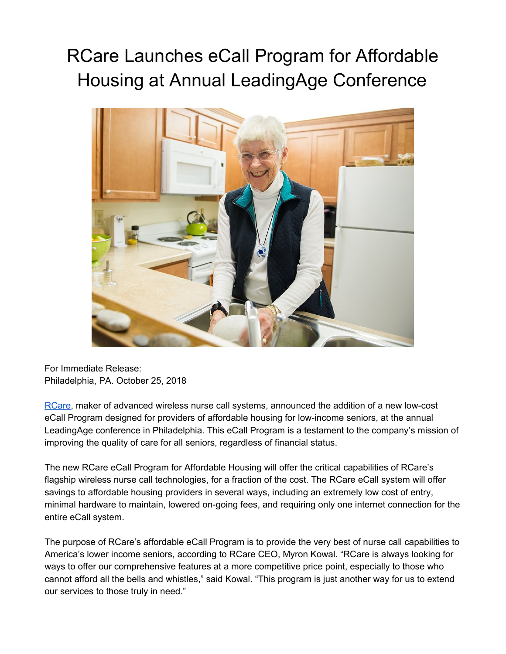## RCare Launches eCall Program for Affordable Housing at Annual LeadingAge Conference



For Immediate Release: Philadelphia, PA. October 25, 2018

[RCare,](http://rcareinc.com/) maker of advanced wireless nurse call systems, announced the addition of a new low-cost eCall Program designed for providers of affordable housing for low-income seniors, at the annual LeadingAge conference in Philadelphia. This eCall Program is a testament to the company's mission of improving the quality of care for all seniors, regardless of financial status.

The new RCare eCall Program for Affordable Housing will offer the critical capabilities of RCare's flagship wireless nurse call technologies, for a fraction of the cost. The RCare eCall system will offer savings to affordable housing providers in several ways, including an extremely low cost of entry, minimal hardware to maintain, lowered on-going fees, and requiring only one internet connection for the entire eCall system.

The purpose of RCare's affordable eCall Program is to provide the very best of nurse call capabilities to America's lower income seniors, according to RCare CEO, Myron Kowal. "RCare is always looking for ways to offer our comprehensive features at a more competitive price point, especially to those who cannot afford all the bells and whistles," said Kowal. "This program is just another way for us to extend our services to those truly in need."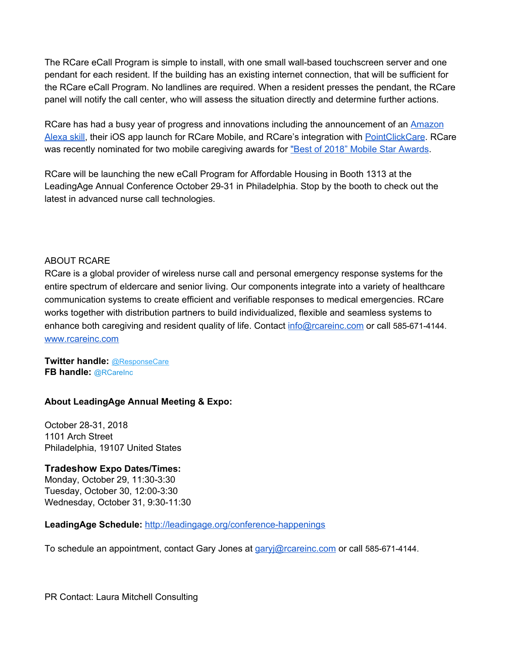The RCare eCall Program is simple to install, with one small wall-based touchscreen server and one pendant for each resident. If the building has an existing internet connection, that will be sufficient for the RCare eCall Program. No landlines are required. When a resident presses the pendant, the RCare panel will notify the call center, who will assess the situation directly and determine further actions.

RCare has had a busy year of progress and innovations including the announcement of an [Amazon](http://www.ireachcontent.com/news-releases/alexa-tell-my-nurse-i-need-help-rcare-announces-alexa-integration-687815121.html) [Alexa](http://www.ireachcontent.com/news-releases/alexa-tell-my-nurse-i-need-help-rcare-announces-alexa-integration-687815121.html) skill, their iOS app launch for RCare Mobile, and RCare's integration with [PointClickCare](https://pointclickcare.com/). RCare was recently nominated for two mobile caregiving awards for "Best of 2018" Mobile Star [Awards](http://www.mobilevillage.com/mobile-star-awards/).

RCare will be launching the new eCall Program for Affordable Housing in Booth 1313 at the LeadingAge Annual Conference October 29-31 in Philadelphia. Stop by the booth to check out the latest in advanced nurse call technologies.

## ABOUT RCARE

[RCare](http://rcareinc.com/) is a global provider of wireless nurse call and personal emergency response systems for the entire spectrum of eldercare and senior living. Our components integrate into a variety of healthcare communication systems to create efficient and verifiable responses to medical emergencies. RCare works together with distribution partners to build individualized, flexible and seamless systems to enhance both caregiving and resident quality of life. Contact [info@rcareinc.com](mailto:info@rcareinc.com) or call 585-671-4144. [www.rcareinc.com](http://www.rcareinc.com/)

**Twitter handle:** [@ResponseCare](https://twitter.com/ResponseCare) **FB handle:** @RCareInc

## **About LeadingAge Annual Meeting & Expo:**

October 28-31, 2018 1101 Arch Street Philadelphia, 19107 United States

**Tradeshow Expo Dates/Times:** Monday, October 29, 11:30-3:30 Tuesday, October 30, 12:00-3:30 Wednesday, October 31, 9:30-11:30

## **LeadingAge Schedule:** <http://leadingage.org/conference-happenings>

To schedule an appointment, contact Gary Jones at [garyj@rcareinc.com](mailto:garyj@rcareinc.com) or call 585-671-4144.